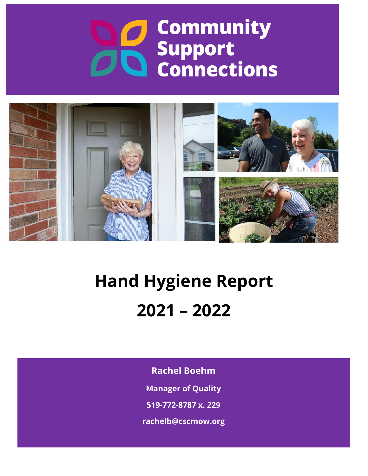# **Community** Support<br>
a Connections



# **Hand Hygiene Report 2021 – 2022**

**Rachel Boehm**

**Manager of Quality**

**519-772-8787 x. 229**

**rachelb@cscmow.org**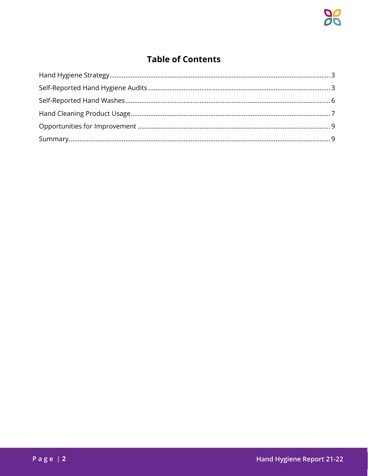# **Table of Contents**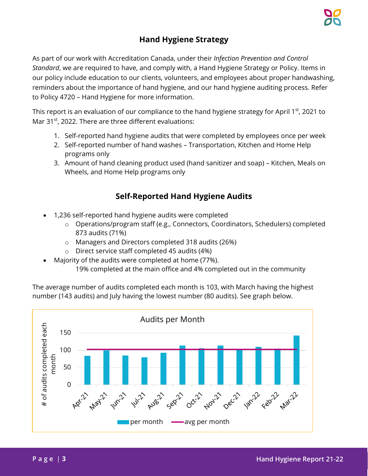### **Hand Hygiene Strategy**

<span id="page-2-0"></span>As part of our work with Accreditation Canada, under their *Infection Prevention and Control Standard*, we are required to have, and comply with, a Hand Hygiene Strategy or Policy. Items in our policy include education to our clients, volunteers, and employees about proper handwashing, reminders about the importance of hand hygiene, and our hand hygiene auditing process. Refer to Policy 4720 – Hand Hygiene for more information.

This report is an evaluation of our compliance to the hand hygiene strategy for April 1<sup>st</sup>, 2021 to Mar 31<sup>st</sup>, 2022. There are three different evaluations:

- 1. Self-reported hand hygiene audits that were completed by employees once per week
- 2. Self-reported number of hand washes Transportation, Kitchen and Home Help programs only
- 3. Amount of hand cleaning product used (hand sanitizer and soap) Kitchen, Meals on Wheels, and Home Help programs only

## **Self-Reported Hand Hygiene Audits**

- <span id="page-2-1"></span> 1,236 self-reported hand hygiene audits were completed
	- o Operations/program staff (e.g., Connectors, Coordinators, Schedulers) completed 873 audits (71%)
	- o Managers and Directors completed 318 audits (26%)
	- o Direct service staff completed 45 audits (4%)
- Majority of the audits were completed at home (77%). 19% completed at the main office and 4% completed out in the community

The average number of audits completed each month is 103, with March having the highest number (143 audits) and July having the lowest number (80 audits). See graph below.

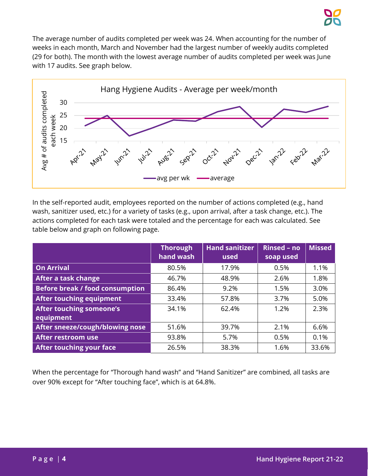The average number of audits completed per week was 24. When accounting for the number of weeks in each month, March and November had the largest number of weekly audits completed (29 for both). The month with the lowest average number of audits completed per week was June with 17 audits. See graph below.



In the self-reported audit, employees reported on the number of actions completed (e.g., hand wash, sanitizer used, etc.) for a variety of tasks (e.g., upon arrival, after a task change, etc.). The actions completed for each task were totaled and the percentage for each was calculated. See table below and graph on following page.

|                                        | <b>Thorough</b><br>hand wash | <b>Hand sanitizer</b><br>used | <b>Rinsed - no</b><br>soap used | <b>Missed</b> |
|----------------------------------------|------------------------------|-------------------------------|---------------------------------|---------------|
| <b>On Arrival</b>                      | 80.5%                        | 17.9%                         | 0.5%                            | 1.1%          |
| After a task change                    | 46.7%                        | 48.9%                         | 2.6%                            | 1.8%          |
| <b>Before break / food consumption</b> | 86.4%                        | 9.2%                          | 1.5%                            | 3.0%          |
| After touching equipment               | 33.4%                        | 57.8%                         | 3.7%                            | 5.0%          |
| After touching someone's               | 34.1%                        | 62.4%                         | 1.2%                            | 2.3%          |
| equipment                              |                              |                               |                                 |               |
| After sneeze/cough/blowing nose        | 51.6%                        | 39.7%                         | 2.1%                            | 6.6%          |
| After restroom use                     | 93.8%                        | 5.7%                          | 0.5%                            | 0.1%          |
| <b>After touching your face</b>        | 26.5%                        | 38.3%                         | 1.6%                            | 33.6%         |

When the percentage for "Thorough hand wash" and "Hand Sanitizer" are combined, all tasks are over 90% except for "After touching face", which is at 64.8%.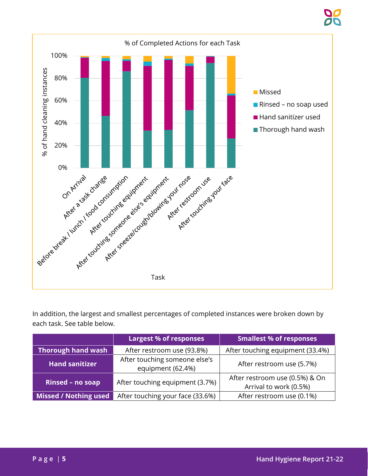

In addition, the largest and smallest percentages of completed instances were broken down by each task. See table below.

|                       | <b>Largest % of responses</b>                      | Smallest % of responses                                  |  |
|-----------------------|----------------------------------------------------|----------------------------------------------------------|--|
| Thorough hand wash    | After restroom use (93.8%)                         | After touching equipment (33.4%)                         |  |
| <b>Hand sanitizer</b> | After touching someone else's<br>equipment (62.4%) | After restroom use (5.7%)                                |  |
| Rinsed - no soap      | After touching equipment (3.7%)                    | After restroom use (0.5%) & On<br>Arrival to work (0.5%) |  |
| Missed / Nothing used | After touching your face (33.6%)                   | After restroom use (0.1%)                                |  |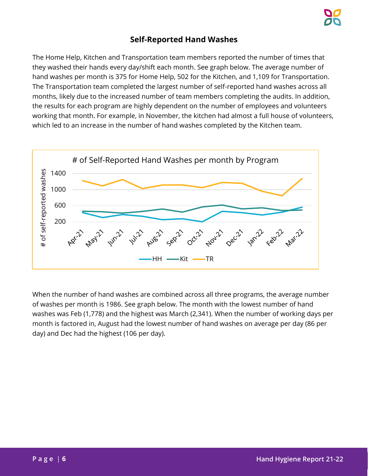#### **Self-Reported Hand Washes**

<span id="page-5-0"></span>The Home Help, Kitchen and Transportation team members reported the number of times that they washed their hands every day/shift each month. See graph below. The average number of hand washes per month is 375 for Home Help, 502 for the Kitchen, and 1,109 for Transportation. The Transportation team completed the largest number of self-reported hand washes across all months, likely due to the increased number of team members completing the audits. In addition, the results for each program are highly dependent on the number of employees and volunteers working that month. For example, in November, the kitchen had almost a full house of volunteers, which led to an increase in the number of hand washes completed by the Kitchen team.



When the number of hand washes are combined across all three programs, the average number of washes per month is 1986. See graph below. The month with the lowest number of hand washes was Feb (1,778) and the highest was March (2,341). When the number of working days per month is factored in, August had the lowest number of hand washes on average per day (86 per day) and Dec had the highest (106 per day).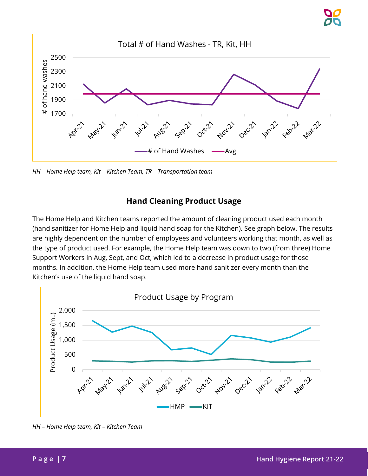

*HH – Home Help team, Kit – Kitchen Team, TR – Transportation team* 

#### **Hand Cleaning Product Usage**

<span id="page-6-0"></span>The Home Help and Kitchen teams reported the amount of cleaning product used each month (hand sanitizer for Home Help and liquid hand soap for the Kitchen). See graph below. The results are highly dependent on the number of employees and volunteers working that month, as well as the type of product used. For example, the Home Help team was down to two (from three) Home Support Workers in Aug, Sept, and Oct, which led to a decrease in product usage for those months. In addition, the Home Help team used more hand sanitizer every month than the Kitchen's use of the liquid hand soap.



*HH – Home Help team, Kit – Kitchen Team*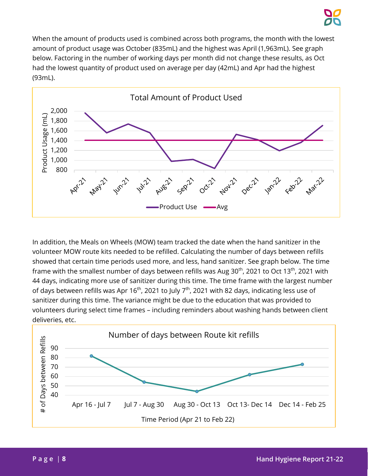When the amount of products used is combined across both programs, the month with the lowest amount of product usage was October (835mL) and the highest was April (1,963mL). See graph below. Factoring in the number of working days per month did not change these results, as Oct had the lowest quantity of product used on average per day (42mL) and Apr had the highest (93mL).



In addition, the Meals on Wheels (MOW) team tracked the date when the hand sanitizer in the volunteer MOW route kits needed to be refilled. Calculating the number of days between refills showed that certain time periods used more, and less, hand sanitizer. See graph below. The time frame with the smallest number of days between refills was Aug  $30<sup>th</sup>$ , 2021 to Oct 13<sup>th</sup>, 2021 with 44 days, indicating more use of sanitizer during this time. The time frame with the largest number of days between refills was Apr 16<sup>th</sup>, 2021 to July 7<sup>th</sup>, 2021 with 82 days, indicating less use of sanitizer during this time. The variance might be due to the education that was provided to volunteers during select time frames – including reminders about washing hands between client deliveries, etc.